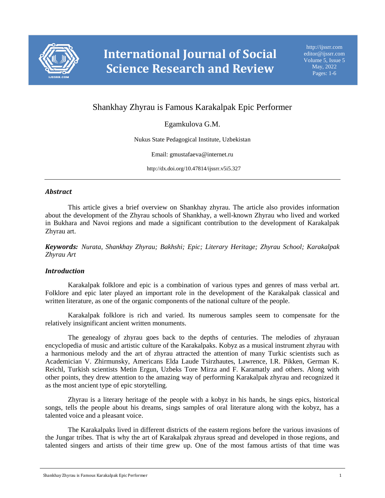

# Shankhay Zhyrau is Famous Karakalpak Epic Performer

## Egamkulova G.M.

Nukus State Pedagogical Institute, Uzbekistan

Email: gmustafaeva@internet.ru

http://dx.doi.org/10.47814/ijssrr.v5i5.327

#### *Abstract*

This article gives a brief overview on Shankhay zhyrau. The article also provides information about the development of the Zhyrau schools of Shankhay, a well-known Zhyrau who lived and worked in Bukhara and Navoi regions and made a significant contribution to the development of Karakalpak Zhyrau art.

*Keywords: Nurata, Shankhay Zhyrau; Bakhshi; Epic; Literary Heritage; Zhyrau School; Karakalpak Zhyrau Art*

#### *Introduction*

Karakalpak folklore and epic is a combination of various types and genres of mass verbal art. Folklore and epic later played an important role in the development of the Karakalpak classical and written literature, as one of the organic components of the national culture of the people.

Karakalpak folklore is rich and varied. Its numerous samples seem to compensate for the relatively insignificant ancient written monuments.

The genealogy of zhyrau goes back to the depths of centuries. The melodies of zhyrauan encyclopedia of music and artistic culture of the Karakalpaks. Kobyz as a musical instrument zhyrau with a harmonious melody and the art of zhyrau attracted the attention of many Turkic scientists such as Academician V. Zhirmunsky, Americans Elda Laude Tsirzhautes, Lawrence, I.R. Pikken, German K. Reichl, Turkish scientists Metin Ergun, Uzbeks Tore Mirza and F. Karamatly and others. Along with other points, they drew attention to the amazing way of performing Karakalpak zhyrau and recognized it as the most ancient type of epic storytelling.

Zhyrau is a literary heritage of the people with a kobyz in his hands, he sings epics, historical songs, tells the people about his dreams, sings samples of oral literature along with the kobyz, has a talented voice and a pleasant voice.

The Karakalpaks lived in different districts of the eastern regions before the various invasions of the Jungar tribes. That is why the art of Karakalpak zhyraus spread and developed in those regions, and talented singers and artists of their time grew up. One of the most famous artists of that time was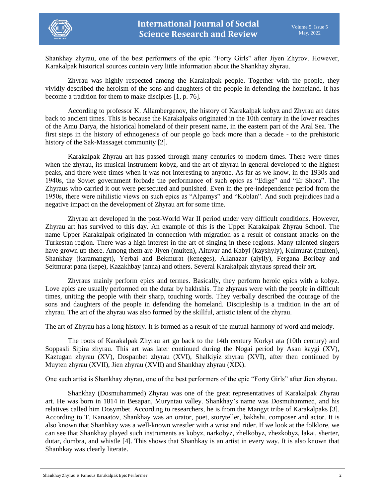

Shankhay zhyrau, one of the best performers of the epic "Forty Girls" after Jiyen Zhyrov. However, Karakalpak historical sources contain very little information about the Shankhay zhyrau.

Zhyrau was highly respected among the Karakalpak people. Together with the people, they vividly described the heroism of the sons and daughters of the people in defending the homeland. It has become a tradition for them to make disciples [1, p. 76].

According to professor K. Allambergenov, the history of Karakalpak kobyz and Zhyrau art dates back to ancient times. This is because the Karakalpaks originated in the 10th century in the lower reaches of the Amu Darya, the historical homeland of their present name, in the eastern part of the Aral Sea. The first steps in the history of ethnogenesis of our people go back more than a decade - to the prehistoric history of the Sak-Massaget community [2].

Karakalpak Zhyrau art has passed through many centuries to modern times. There were times when the zhyrau, its musical instrument kobyz, and the art of zhyrau in general developed to the highest peaks, and there were times when it was not interesting to anyone. As far as we know, in the 1930s and 1940s, the Soviet government forbade the performance of such epics as "Edige" and "Er Shora". The Zhyraus who carried it out were persecuted and punished. Even in the pre-independence period from the 1950s, there were nihilistic views on such epics as "Alpamys" and "Koblan". And such prejudices had a negative impact on the development of Zhyrau art for some time.

Zhyrau art developed in the post-World War II period under very difficult conditions. However, Zhyrau art has survived to this day. An example of this is the Upper Karakalpak Zhyrau School. The name Upper Karakalpak originated in connection with migration as a result of constant attacks on the Turkestan region. There was a high interest in the art of singing in these regions. Many talented singers have grown up there. Among them are Jiyen (muiten), Aituvar and Kabyl (kayshyly), Kulmurat (muiten), Shankhay (karamangyt), Yerbai and Bekmurat (keneges), Allanazar (aiylly), Fergana Boribay and Seitmurat pana (kepe), Kazakhbay (anna) and others. Several Karakalpak zhyraus spread their art.

Zhyraus mainly perform epics and termes. Basically, they perform heroic epics with a kobyz. Love epics are usually performed on the dutar by bakhshis. The zhyraus were with the people in difficult times, uniting the people with their sharp, touching words. They verbally described the courage of the sons and daughters of the people in defending the homeland. Discipleship is a tradition in the art of zhyrau. The art of the zhyrau was also formed by the skillful, artistic talent of the zhyrau.

The art of Zhyrau has a long history. It is formed as a result of the mutual harmony of word and melody.

The roots of Karakalpak Zhyrau art go back to the 14th century Korkyt ata (10th century) and Soppasli Sipira zhyrau. This art was later continued during the Nogai period by Asan kaygi (XV), Kaztugan zhyrau (XV), Dospanbet zhyrau (XVI), Shalkiyiz zhyrau (XVI), after then continued by Muyten zhyrau (XVII), Jien zhyrau (XVII) and Shankhay zhyrau (XIX).

One such artist is Shankhay zhyrau, one of the best performers of the epic "Forty Girls" after Jien zhyrau.

Shankhay (Dosmuhammed) Zhyrau was one of the great representatives of Karakalpak Zhyrau art. He was born in 1814 in Besapan, Muryntau valley. Shankhay's name was Dosmuhammed, and his relatives called him Dosymbet. According to researchers, he is from the Mangyt tribe of Karakalpaks [3]. According to T. Kanaatov, Shankhay was an orator, poet, storyteller, bakhshi, composer and actor. It is also known that Shanhkay was a well-known wrestler with a wrist and rider. If we look at the folklore, we can see that Shankhay played such instruments as kobyz, narkobyz, zhelkobyz, zhezkobyz, lakai, sherter, dutar, dombra, and whistle [4]. This shows that Shanhkay is an artist in every way. It is also known that Shanhkay was clearly literate.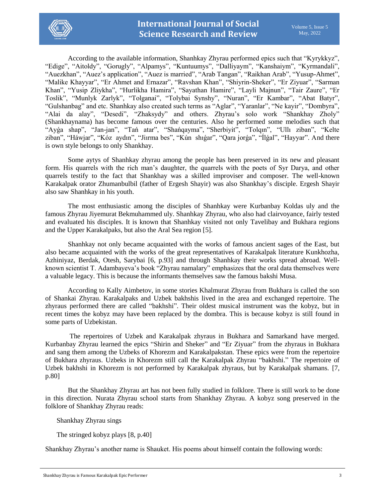

According to the available information, Shanhkay Zhyrau performed epics such that "Kyrykkyz", "Edige", "Aitoldy", "Gorugly", "Alpamys", "Kuntuumys", "Dalliyaym", "Kanshaiym", "Kyrmandali", "Auezkhan", "Auez's application", "Auez is married", "Arab Tangan", "Raikhan Arab", "Yusup-Ahmet", "Malike Khayyar", "Er Ahmet and Ernazar", "Ravshan Khan", "Shiyrin-Sheker", "Er Ziyuar", "Sarman Khan", "Yusip Zliykha", "Hurlikha Hamira", "Sayathan Hamire", "Layli Majnun", "Tair Zaure", "Er Toslik", "Munlyk Zarlyk", "Tolganai", "Tolybai Synshy", "Nuran", "Er Kambar", "Abat Batyr", "Gulshanbag" and etc. Shanhkay also created such terms as "Aglar", "Yaranlar", "Ne kayir", "Dombyra", "Alai da alay", "Desedi", "Zhaksydy" and others. Zhyrau's solo work "Shankhay Zholy" (Shankhaynama) has become famous over the centuries. Also he performed some melodies such that "Ayǵa shap", "Jan-jan", "Tań atar", "Shańqayma", "Sherbiyit", "Tolqın", "Ullı ziban", "Kelte ziban", "Háwjar", "Kóz aydın", "Jiırma bes", "Kún shıǵar", "Qara jorǵa", "Ílǵal", "Hayyar". And there is own style belongs to only Shankhay.

Some aytys of Shanhkay zhyrau among the people has been preserved in its new and pleasant form. His quarrels with the rich man's daughter, the quarrels with the poets of Syr Darya, and other quarrels testify to the fact that Shankhay was a skilled improviser and composer. The well-known Karakalpak orator Zhumanbulbil (father of Ergesh Shayir) was also Shankhay's disciple. Ergesh Shayir also saw Shanhkay in his youth.

The most enthusiastic among the disciples of Shanhkay were Kurbanbay Koldas uly and the famous Zhyrau Jiyemurat Bekmuhammed uly. Shanhkay Zhyrau, who also had clairvoyance, fairly tested and evaluated his disciples. It is known that Shanhkay visited not only Tavelibay and Bukhara regions and the Upper Karakalpaks, but also the Aral Sea region [5].

Shanhkay not only became acquainted with the works of famous ancient sages of the East, but also became acquainted with the works of the great representatives of Karakalpak literature Kunkhozha, Azhiniyaz, Berdak, Otesh, Sarybai [6, p.93] and through Shanhkay their works spread abroad. Wellknown scientist T. Adambayeva's book "Zhyrau namalary" emphasizes that the oral data themselves were a valuable legacy. This is because the informants themselves saw the famous bakshi Musa.

According to Kally Aimbetov, in some stories Khalmurat Zhyrau from Bukhara is called the son of Shankai Zhyrau. Karakalpaks and Uzbek bakhshis lived in the area and exchanged repertoire. The zhyraus performed there are called "bakhshi". Their oldest musical instrument was the kobyz, but in recent times the kobyz may have been replaced by the dombra. This is because kobyz is still found in some parts of Uzbekistan.

The repertoires of Uzbek and Karakalpak zhyraus in Bukhara and Samarkand have merged. Kurbanbay Zhyrau learned the epics "Shirin and Sheker" and "Er Ziyuar" from the zhyraus in Bukhara and sang them among the Uzbeks of Khorezm and Karakalpakstan. These epics were from the repertoire of Bukhara zhyraus. Uzbeks in Khorezm still call the Karakalpak Zhyrau "bakhshi." The repertoire of Uzbek bakhshi in Khorezm is not performed by Karakalpak zhyraus, but by Karakalpak shamans. [7, p.80]

But the Shankhay Zhyrau art has not been fully studied in folklore. There is still work to be done in this direction. Nurata Zhyrau school starts from Shankhay Zhyrau. A kobyz song preserved in the folklore of Shankhay Zhyrau reads:

Shankhay Zhyrau sings

The stringed kobyz plays [8, p.40]

Shankhay Zhyrau's another name is Shauket. His poems about himself contain the following words: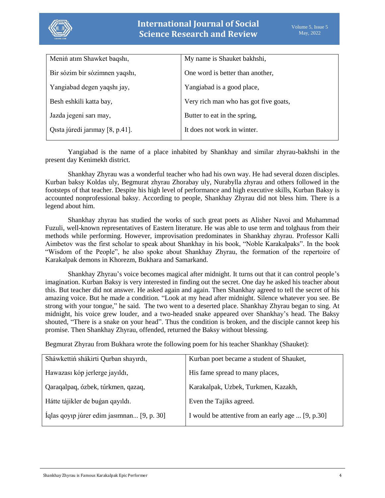

| My name is Shauket bakhshi,           |
|---------------------------------------|
| One word is better than another,      |
| Yangiabad is a good place,            |
| Very rich man who has got five goats, |
| Butter to eat in the spring,          |
| It does not work in winter.           |
|                                       |

Yangiabad is the name of a place inhabited by Shankhay and similar zhyrau-bakhshi in the present day Kenimekh district.

Shankhay Zhyrau was a wonderful teacher who had his own way. He had several dozen disciples. Kurban baksy Koldas uly, Begmurat zhyrau Zhorabay uly, Nurabylla zhyrau and others followed in the footsteps of that teacher. Despite his high level of performance and high executive skills, Kurban Baksy is accounted nonprofessional baksy. According to people, Shankhay Zhyrau did not bless him. There is a legend about him.

Shankhay zhyrau has studied the works of such great poets as Alisher Navoi and Muhammad Fuzuli, well-known representatives of Eastern literature. He was able to use term and tolghaus from their methods while performing. However, improvisation predominates in Shankhay zhyrau. Professor Kalli Aimbetov was the first scholar to speak about Shankhay in his book, "Noble Karakalpaks". In the book "Wisdom of the People", he also spoke about Shankhay Zhyrau, the formation of the repertoire of Karakalpak demons in Khorezm, Bukhara and Samarkand.

Shankhay Zhyrau's voice becomes magical after midnight. It turns out that it can control people's imagination. Kurban Baksy is very interested in finding out the secret. One day he asked his teacher about this. But teacher did not answer. He asked again and again. Then Shankhay agreed to tell the secret of his amazing voice. But he made a condition. "Look at my head after midnight. Silence whatever you see. Be strong with your tongue," he said. The two went to a deserted place. Shankhay Zhyrau began to sing. At midnight, his voice grew louder, and a two-headed snake appeared over Shankhay's head. The Baksy shouted, "There is a snake on your head". Thus the condition is broken, and the disciple cannot keep his promise. Then Shankhay Zhyrau, offended, returned the Baksy without blessing.

Begmurat Zhyrau from Bukhara wrote the following poem for his teacher Shankhay (Shauket):

| Sháwkettiń shákirti Qurban shayırdı,       | Kurban poet became a student of Shauket,          |
|--------------------------------------------|---------------------------------------------------|
| Hawazası kóp jerlerge jayıldı,             | His fame spread to many places,                   |
| Qaraqalpaq, ózbek, túrkmen, qazaq,         | Karakalpak, Uzbek, Turkmen, Kazakh,               |
| Hátte tájikler de bugan qayıldı.           | Even the Tajiks agreed.                           |
| Íglas qoyip júrer edim jasımnan [9, p. 30] | I would be attentive from an early age  [9, p.30] |
|                                            |                                                   |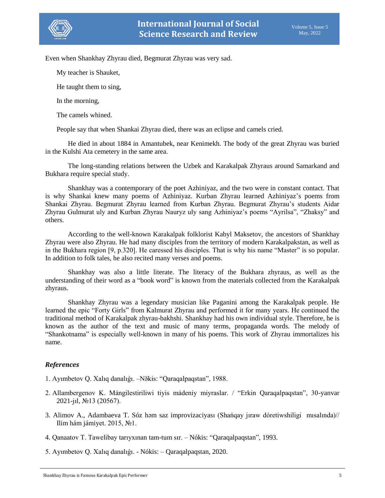

Even when Shankhay Zhyrau died, Begmurat Zhyrau was very sad.

My teacher is Shauket,

He taught them to sing,

In the morning,

The camels whined.

People say that when Shankai Zhyrau died, there was an eclipse and camels cried.

He died in about 1884 in Amantubek, near Kenimekh. The body of the great Zhyrau was buried in the Kulshi Ata cemetery in the same area.

The long-standing relations between the Uzbek and Karakalpak Zhyraus around Samarkand and Bukhara require special study.

Shankhay was a contemporary of the poet Azhiniyaz, and the two were in constant contact. That is why Shankai knew many poems of Azhiniyaz. Kurban Zhyrau learned Azhiniyaz's poems from Shankai Zhyrau. Begmurat Zhyrau learned from Kurban Zhyrau. Begmurat Zhyrau's students Aidar Zhyrau Gulmurat uly and Kurban Zhyrau Nauryz uly sang Azhiniyaz's poems "Ayrilsa", "Zhaksy" and others.

According to the well-known Karakalpak folklorist Kabyl Maksetov, the ancestors of Shankhay Zhyrau were also Zhyrau. He had many disciples from the territory of modern Karakalpakstan, as well as in the Bukhara region [9, p.320]. He caressed his disciples. That is why his name "Master" is so popular. In addition to folk tales, he also recited many verses and poems.

Shankhay was also a little literate. The literacy of the Bukhara zhyraus, as well as the understanding of their word as a "book word" is known from the materials collected from the Karakalpak zhyraus.

Shankhay Zhyrau was a legendary musician like Paganini among the Karakalpak people. He learned the epic "Forty Girls" from Kalmurat Zhyrau and performed it for many years. He continued the traditional method of Karakalpak zhyrau-bakhshi. Shankhay had his own individual style. Therefore, he is known as the author of the text and music of many terms, propaganda words. The melody of "Shankotnama" is especially well-known in many of his poems. This work of Zhyrau immortalizes his name.

#### *References*

- 1. Ayımbetov Q. Xalıq danalıǵı. –Nӛkis: "Qaraqalpaqstan", 1988.
- 2. Allambergenov K. Mángilestiriliwi tiyis mádeniy miyraslar. / "Erkin Qaraqalpaqstan", 30-yanvar 2021-jıl, №13 (20567).
- 3. Alimov A., Adambaeva T. Sóz həm saz improvizaciyası (Shańqay jıraw dóretiwshiligi mısalında)// Ilim hám jámiyet. 2015, №1.
- 4. Qanaatov T. Tawelibay tarıyxınan tam-tum sır. Nókis: "Qaraqalpaqstan", 1993.
- 5. Ayımbetov Q. Xalıq danalıǵı. Nókis: Qaraqalpaqstan, 2020.